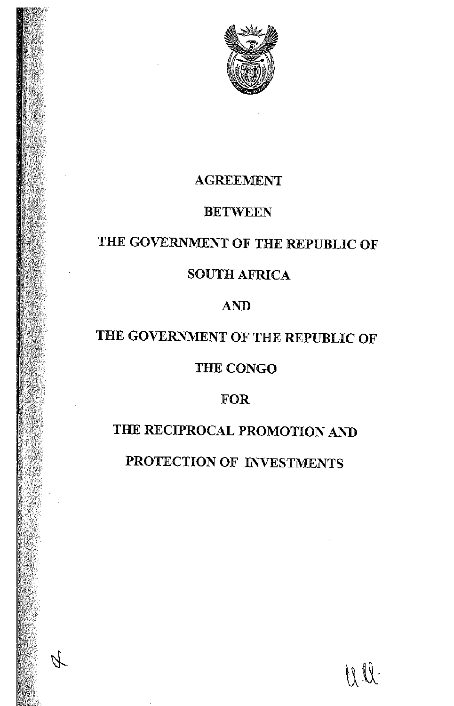

# AGREEMENT

# **BETWEEN**

# THE GOVERNMENT OF THE REPUBLIC OF

# SOUTH AFRICA

# AND

# THE GOVERNMENT OF THE REPUBLIC OF

# THE CONGO

# FOR

# THE RECIPROCAL PROMOTION AND

PROTECTION OF INVESTMENTS

WII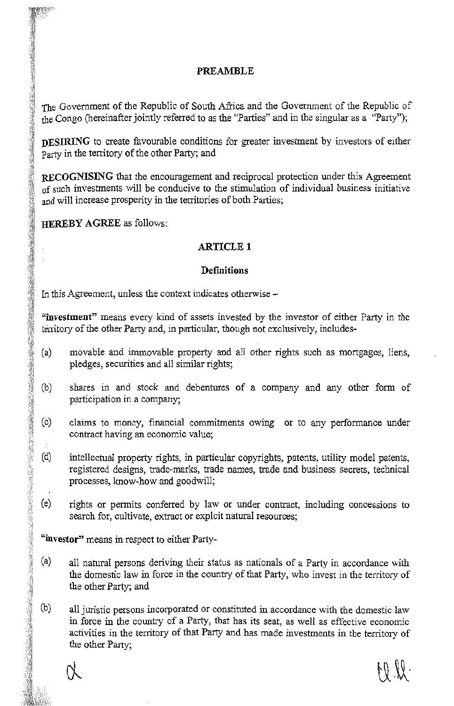# PREAMBLE

The Government of the Republic of South Africa and the Government of the Republic of the Congo (hereinafter jointly referred to as the "Parties" and in the singular as a "Party");

DESIRING to create favourable conditions for greater investment by investors of either party in the territory of the other Party; and

RECOGNISING that the encouragement and reciprocal protection under this Agreement of such investments will be conducive to the stimulation of individual business initiative and will increase prosperity in the territories of both Parties;

HEREBY AGREE as follows:

# **ARTICLE 1**

# **Definitions**

In this Agreement, unless the context indicates otherwise -

"investment" means every kind of assets invested by the investor of either Party in the territory of the other Party and, in particular, though not exclusively, includes-

- movable and immovable property and all other rights such as mortgages, liens, pledges, securities and all similar rights; (a)
- shares in and stock and debentures of a company and any other form of participation in a company;  $\mathbb{N}$   $\sim$
- claims to money, financial commitments owing or to any performance under contract having an economic value;  $\frac{1}{2}$ 
	- intellectual property rights, in particular copyrights, patents, utility model patents, registered designs, trade-marks, trade names, trade and business secrets, technical processes, know-how and goodwill; *]~1* (d)
	- rights or permits conferred by law or under contract, including concessions to search for, cultivate, extract or exploit natural resources;  $(e)$

"investor" means in respect to either Party-

 $\mathbb{S}_+^r$ 

.~·~· ~

·~~

'I

:·'.:~j '~

 $\frac{1}{2}$ 

.,.~

/f:~

- $(a)$ all natural persons deriving their status as nationals of a Party in accordance with the domestic law in force in the country of that Party, who invest in the territory of the other Party; and
- $(b)$ all juristic persons incorporated or constituted in accordance with the domestic law in force in the country of a Party, that has its seat, as well as effective economic activities in the territory of that Party and has made investments in the territory of the other Party;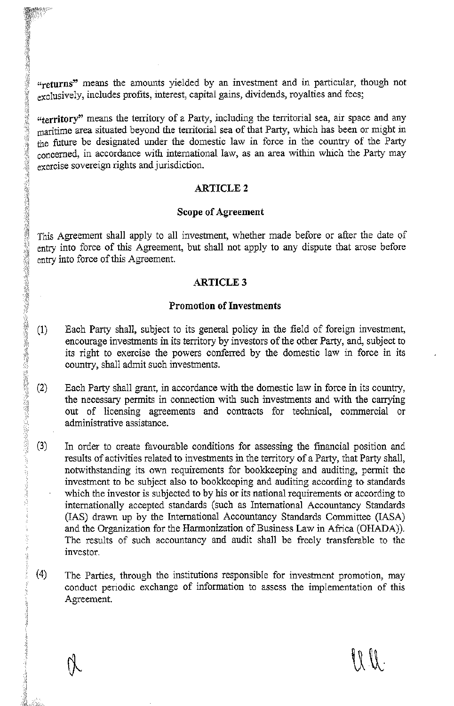**"returns"** means the amounts yielded by an investment and in particular, though not exclusively, includes profits, interest, capital gains, dividends, royalties and fees;

**"territory"** means the territory of a Party, including the territorial sea, air space and any maritime area situated beyond the territorial sea of that Party, which has been or might in the future be designated under the domestic law in force in the country of the Party concerned, in accordance with international law, as an area within which the Party may exercise sovereign rights and jurisdiction.

#### **ARTICLE2**

#### **Scope of Agreement**

This Agreement shall apply to all investment, whether made before or after the date of entry into force of this Agreement, but shall not apply to any dispute that arose before entry into force of this Agreement.

#### **ARTICLE3**

#### **Promotion of Investments**

- **(1)** Each Party shall, subject to its general policy in the field of foreign investment, encourage investments in its territory by investors of the other Party, and, subject to its right to exercise the powers conferred by the domestic law in force in its country, shall admit such investments.
- (2) Each Party shall grant, in accordance with the domestic law in force in its country, the necessary permits in connection with such investments and with the carrying out of licensing agreements and contracts for technical, commercial or administrative assistance.
- (3) In order to create favourable conditions for assessing the financial position and results of activities related to investments in the territory of a Party, that Party shall, notwithstanding its own requirements for bookkeeping and auditing, permit the investment to be subject also to bookkeeping and auditing according to standards which the investor is subjected to by his or its national requirements or according to internationally accepted standards (such as International Accountancy Standards (IAS) drawn up by the International Accountancy Standards Committee (!ASA) and the Organization for the Harmonization of Business Law in Africa (OHADA)). The results of such accountancy and audit shall be freely transferable to the investor.
- $(4)$ The Parties, through the institutions responsible for investment promotion, may conduct periodic exchange of information to assess the implementation of this Agreement.

 $\mathcal{W}$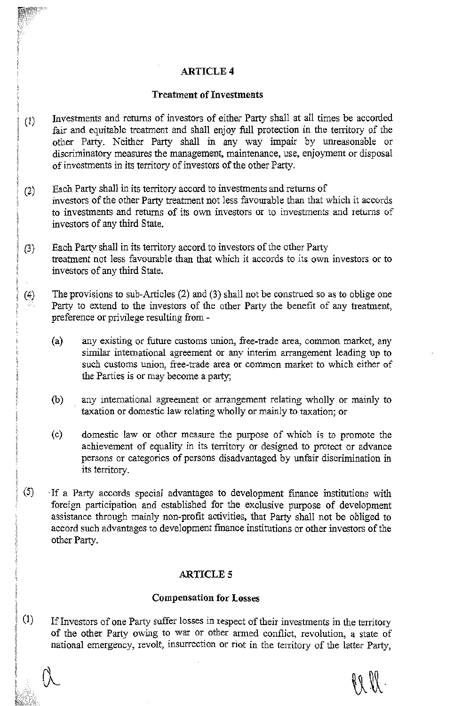# ARTICLE4

### Treatment of Investments

- Investments and returns of investors of either Party shall at all times be accorded fair and equitable treatment and shall enjoy full protection in the territory of the other Party. Neither Party shall in any way impair by unreasonable or discriminatory measures the management, maintenance, use, enjoyment or disposal of investments in its territory of investors of the other Party. (1)
- Each Party shall in its territory accord to investments and returns of investors of the other Party treatment not less favourable than that which it accords to investments and returns of its own investors or to investments and returns of investors of any third State. (2)
- Each Party shall in its territory accord to investors of the other Party treatment not less favourable than that which it accords to its own investors or to investors of any third State. (3)
- The provisions to sub-Articles (2) and (3) shall not be construed so as to oblige one Party to extend to the investors of the other Party the benefit of any treatment, preference or privilege resulting from - (4)
	- (a) any existing or future customs union, free-trade area, common market, any similar international agreement or any interim arrangement leading up to such customs union, free-trade area or common market to which either of the Parties is or may become a party;
	- (b) any international agreement or arrangement relating wholly or mainly to taxation or domestic law relating wholly or mainly to taxation; or
	- ( c) domestic law or other measure the purpose of which is to promote the achievement of equality in its territory or designed to protect or advance persons or categories of persons disadvantaged by unfair discrimination in its territory.
- (5) ·If a Party accords special advantages to development finance institutions with foreign participation and established for the exclusive purpose of development assistance through mainly non-profit activities, that Party shall not be obliged to accord such advantages to development finance institutions or other investors of the other Party.

# **ARTICLE 5**

## Compensation for Losses

(1) Iflnvestors of one Party suffer losses in respect of their investments in the territory of the other Party owing to war or other armed conflict, revolution, a state of national emergency, revolt, insurrection or riot in the territory of the latter Party,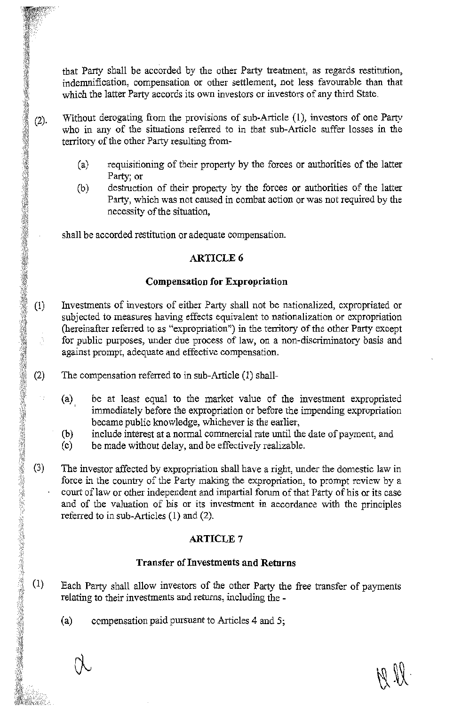that Party shall be accorded by the other Party treatment, as regards restitution, indemnification, compensation or other settlement, not less favourable than that which the latter Party accords its own investors or investors of any third State.

- Without derogating from the provisions of sub-Article (1), investors of one Party  $(2).$ who in any of the situations referred to in that sub-Article suffer losses in the territory of the other Party resulting from-
	- (a) requisitioning of their property by the forces or authorities of the latter Party; or
	- (b) destruction of their property by the forces or authorities of the latter Party, which was not caused in combat action or was not required by the necessity of the situation,

shall be accorded restitution or adequate compensation.

# **ARTICLE6**

### **Compensation for Expropriation**

- $(1)$ Investments of investors of either Party shall not be nationalized, expropriated or subjected to measures having effects equivalent to nationalization or expropriation (hereinafter referred to as "expropriation") in the territory of the other Party except for public purposes, under due process of law, on a non-discriminatory basis and against prompt, adequate and effective compensation.
- $(2)$ The compensation referred to in sub-Article (1) shall-
	- (a) be at least equal to the market value of the investment expropriated immediately before the expropriation or before the impending expropriation became public knowledge, whichever is the earlier,
	- (b) include interest at a normal commercial rate until the date of payment, and
	- ( c) be made without delay, and be effectively realizable.
- $(3)$ The investor affected by expropriation shall have a right, under the domestic law in force in the country of the Party making the expropriation, to prompt review by a court of law or other independent and impartial forum of that Party of his or its case and of the valuation of his or its investment in accordance with the principles referred to in sub-Articles (1) and (2).

# **ARTICLE7**

# **Transfer of Investments and Returns**

- $(1)$ Each Party shall allow investors of the other Party the free transfer of payments relating to their investments and returns, including the -
	- (a) compensation paid pursuant to Articles 4 and 5;

**襧ឆ<br>鸍<br>轥**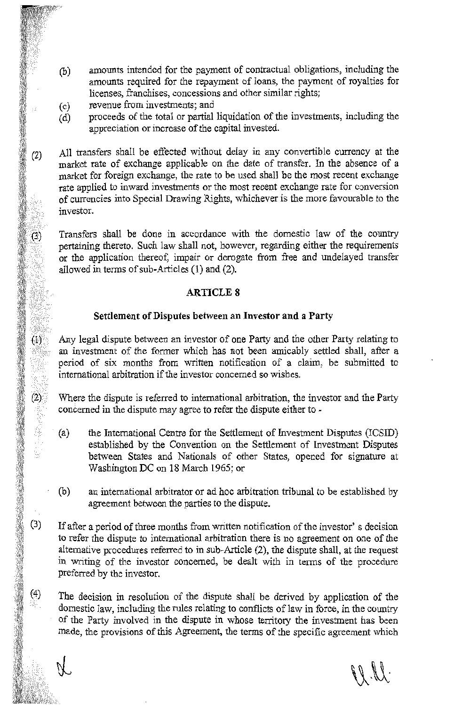- amounts intended for the payment of contractual obligations, including the amounts required for the repayment of loans, the payment of royalties for licenses, franchises, concessions and other similar rights; (b)
- (c) revenue from investments; and

*:~~,!~ff ~<;*   $\frac{3}{2}$ 

 $\frac{1}{2}$  in the contract of  $\frac{1}{2}$  in the contract of  $\frac{1}{2}$  in the contract of  $\frac{1}{2}$  in the contract of  $\frac{1}{2}$  in the contract of  $\frac{1}{2}$  in the contract of  $\frac{1}{2}$  in the contract of  $\frac{1}{2}$  in the c

 $(3)$ 

 $(1)$ 

*::tf*  ·:·;~j\

~ *:-:~* ;\(ll · .. ~, *~}* 

.<br>.<br>.<br>.

*·fi.,~s* :,.11 *:*i *;·,.~*  .~rr"ii-. ;'¢.lf,5

~~  $\frac{1}{2}$ 

 $(4)$  $\frac{1}{2}$   $\frac{1}{2}$  $\mathbb{S}^*$ 

(d) proceeds of the total or partial liquidation of the investments, including the appreciation or increase of the capital invested.

<sup>(2)</sup> All transfers shall be effected without delay in any convertible currency at the market rate of exchange applicable on the date of transfer. In the absence of a market for foreign exchange, the rate to be used shall be the most recent exchange<br>rate applied to inward investments or the most recent exchange rate for conversion<br>of currencies into Special Drawing Rights, whichever is

pertaining thereto. Such law shall not, however, regarding either the requirements or the application thereof, impair or derogate from free and undelayed transfer allowed in terms of sub-Articles (1) and (2).

# **ARTICLE 8**

# **Settlement of Disputes between an Investor and a Party**

Any legal dispute between an investor of one Party and the other Party relating to an investment of the former which has not been amicably settled shall, after a period of six months from written notification of a claim, be submitted to international arbitration if the investor concerned so wishes.

 $(2)$  Where the dispute is referred to international arbitration, the investor and the Party concerned in the dispute may agree to refer the dispute either to -

- (a) the International Centre for the Settlement of Investment Disputes (ICSID) established by the Convention on the Settlement of Investment Disputes between States and Nationals of other States, opened for signature at Washington DC on 18 March 1965; or
- an international arbitrator or ad hoc arbitration tribunal to be established by agreement between the parties to the dispute. . (b)
- If after a period of three months from written notification of the investor' s decision to refer the dispute to international arbitration there is no agreement on one of the alternative procedures referred to in sub-Article (2), the dispute shall, at the request in writing of the investor concerned, be dealt with in terms of the procedure preferred by the investor.  $(3)$

The decision in resolution of the dispute shall be derived by application of the domestic law, including the rules relating to conflicts of law in force, in the country of the Party involved in the dispute in whose territory the investment has been made, the provisions of this Agreement, the terms of the specific agreement which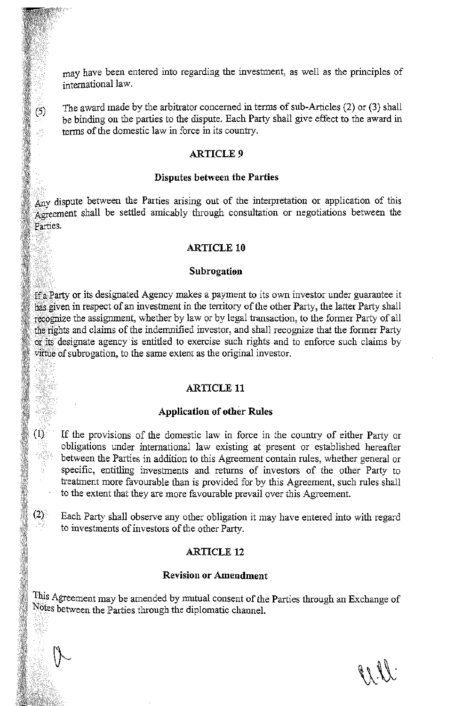may have been entered into regarding the investment, as well as the principles of international law.

The award made by the arbitrator concerned in terms of sub-Articles (2) or (3) shall be binding on the parties to the dispute. Each Party shall give effect to the award in terms of the domestic law in force in its country.

## **ARTICLE9**

 $(5)$ 

 $(1)$ 

#### **Disputes between the Parties**

Any dispute between the Parties arising out of the interpretation or application of this Agreement shall be settled amicably through consultation or negotiations between the Parties.

#### **ARTICLE 10**

#### **Subrogation**

*ff* a Party or its designated Agency makes a payment to its own investor under guarantee it has given in respect of an investment in the territory of the other Party, the latter Party shall recognize the assignment, whether by law or by legal transaction, to the former Party of all the rights and claims of the indemnified investor, and shall recognize that the former Party or its designate agency is entitled to exercise such rights and to enforce such claims by wittue of subrogation, to the same extent as the original investor.

# **ARTICLE 11**

#### **Application of other Rules**

If the provisions of the domestic law in force in the country of either Party or obligations under international law existing at present or established hereafter between the Parties in addition to this Agreement contain rules, whether general or specific, entitling investments and returns of investors of the other Party to treatment more favourable than is provided for by this Agreement, such rules shall to the extent that they are more favourable prevail over this Agreement.

 $(2)$  Each Party shall observe any other obligation it may have entered into with regard to investments of investors of the other Party.

# **ARTICLE 12**

#### **Revision or Amendment**

This Agreement may be amended by mutual consent of the Parties through an Exchange of Notes between the Parties through the diplomatic channel.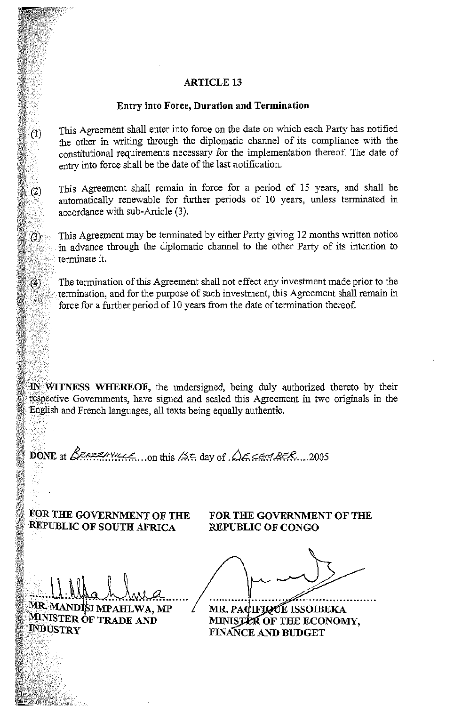# ARTICLE 13

#### Entry into Force, Duration and Termination

This Agreement shall enter into force on the date on which each Party has notified the other in writing through the diplomatic channel of its compliance with the constitutional requirements necessary for the implementation thereof. The date of entry into force shall be the date of the last notification.

This Agreement shall remain in force for a period of 15 years, and shall be automatically renewable for further periods of 10 years, unless terminated in accordance with sub-Article (3 ).

This Agreement may be terminated by either Party giving 12 months written notice in advance through the diplomatic channel to the other Party of its intention to terminate it.

The termination of this Agreement shall not effect any investment made prior to the termination, and for the purpose of such investment, this Agreement shall remain in .force for a further period of 10 years from the date of termination thereof.

 $\mathbf{N}$  WITNESS WHEREOF, the undersigned, being duly authorized thereto by their respective Governments, have signed and sealed this Agreement in two originals in the English and French languages, all texts being equally authentic.

 $~^{\text{DONE}}$  at  $~^{\text{Razzay}}$   $\mu$   $\mu$   $\epsilon$ , .... on this /55 day of  $~^{\text{A}}$  $\epsilon$   $\epsilon$   $~^{\text{AEC}}$  ...2005

FOR THE GOVERNMENT OF THE REPUBLIC OF SOUTH AFRICA

. MANDISI MPAHLWA, MP

MINISTER OF TRADE AND

 $\| \cdot \|$ 

·:.·::::)::::.·:·;·.:·::: ..

 $(1)$ 

 $(2)$ 

 $(3)$ 

 $(4)$ 

**INDUSTRY** 

 $\cdots$ 

FOR THE GOVERNMENT OF THE REPUBLIC OF CONGO

MR. PACIFIQUE ISSOIBEKA MINISTER OF THE ECONOMY. FINANCE AND BUDGET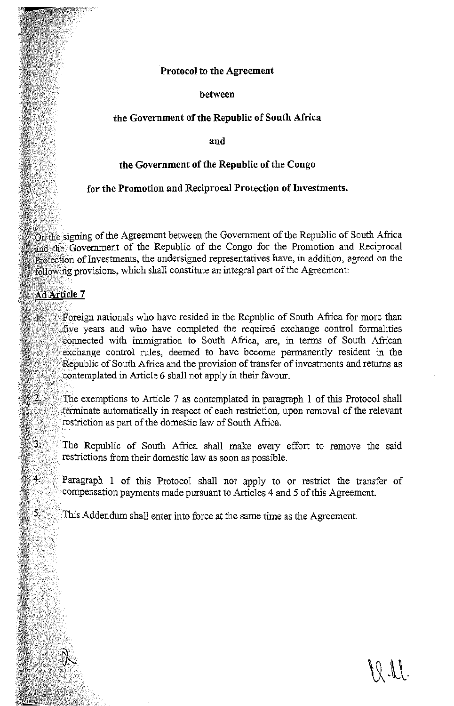# **Protocol to the Agreement**

**between** 

## **the Government of the Republic of South Africa**

**and** 

## **the Government of the Republic of the Congo**

## **for the Promotion and Reciprocal Protection of Investments.**

On the signing of the Agreement between the Government of the Republic of South Africa and the Government of the Republic of the Congo for the Promotion and Reciprocal Protection of Investments, the undersigned representatives have, in addition, agreed on the following provisions, which shall constitute an integral part of the Agreement:

# Ad Article 7

*·· .. : c* 

. · ··.

4.

 $5.$ 

. :·:: .......

Foreign nationals who have resided in the Republic of South Africa for more than five years and who have completed the required exchange control formalities connected with immigration to South Africa, are, in terms of South African exchange control rules, deemed to have become permanently resident in the Republic of South Africa and the provision of transfer of investments and returns as contemplated in Article 6 shall not apply in their favour.

The exemptions to Article 7 as contemplated in paragraph 1 of this Protocol shall terminate automatically in respect of each restriction, upon removal of the relevant restriction as part of the domestic law of South Africa.

'The Republic of South Africa shall make every effort to remove the said restrictions from their domestic law as soon as possible.

Paragraph **1** of this Protocol shall not apply to or restrict the transfer of compensation payments made pursuant to Articles 4 and 5 of this Agreement.

This Addendum shall enter into force at the same time as the Agreement.